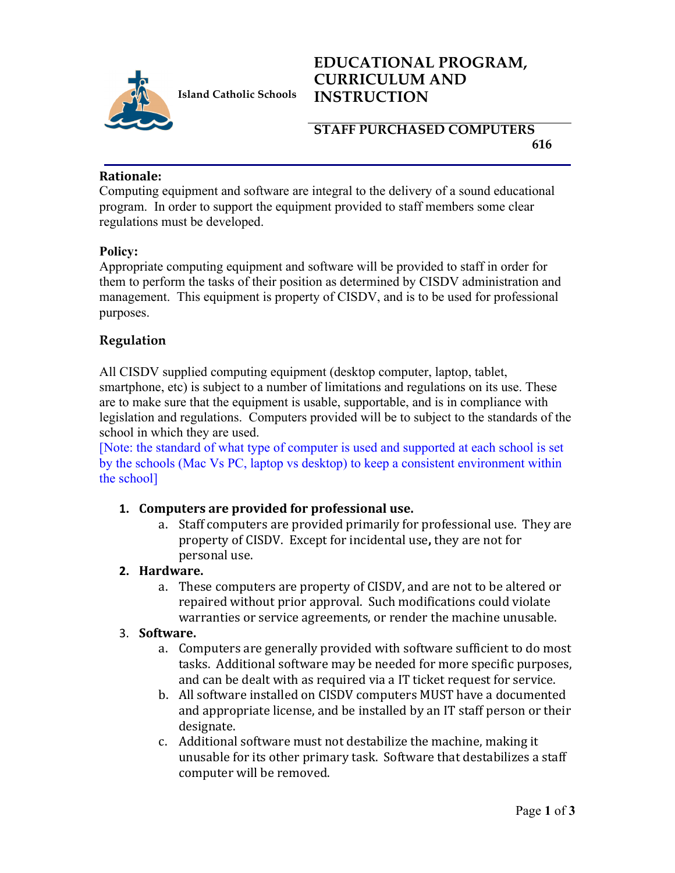

**Island Catholic Schools** 

# **EDUCATIONAL PROGRAM, CURRICULUM AND INSTRUCTION**

### **STAFF PURCHASED COMPUTERS 616**

#### **Rationale:**

Computing equipment and software are integral to the delivery of a sound educational program. In order to support the equipment provided to staff members some clear regulations must be developed.

#### **Policy:**

Appropriate computing equipment and software will be provided to staff in order for them to perform the tasks of their position as determined by CISDV administration and management. This equipment is property of CISDV, and is to be used for professional purposes.

# **Regulation**

All CISDV supplied computing equipment (desktop computer, laptop, tablet, smartphone, etc) is subject to a number of limitations and regulations on its use. These are to make sure that the equipment is usable, supportable, and is in compliance with legislation and regulations. Computers provided will be to subject to the standards of the school in which they are used.

[Note: the standard of what type of computer is used and supported at each school is set by the schools (Mac Vs PC, laptop vs desktop) to keep a consistent environment within the school]

### 1. Computers are provided for professional use.

a. Staff computers are provided primarily for professional use. They are property of CISDV. Except for incidental use, they are not for personal use.

### **2. Hardware.**

a. These computers are property of CISDV, and are not to be altered or repaired without prior approval. Such modifications could violate warranties or service agreements, or render the machine unusable.

#### 3. **Software.**

- a. Computers are generally provided with software sufficient to do most tasks. Additional software may be needed for more specific purposes, and can be dealt with as required via a IT ticket request for service.
- b. All software installed on CISDV computers MUST have a documented and appropriate license, and be installed by an IT staff person or their designate.
- c. Additional software must not destabilize the machine, making it unusable for its other primary task. Software that destabilizes a staff computer will be removed.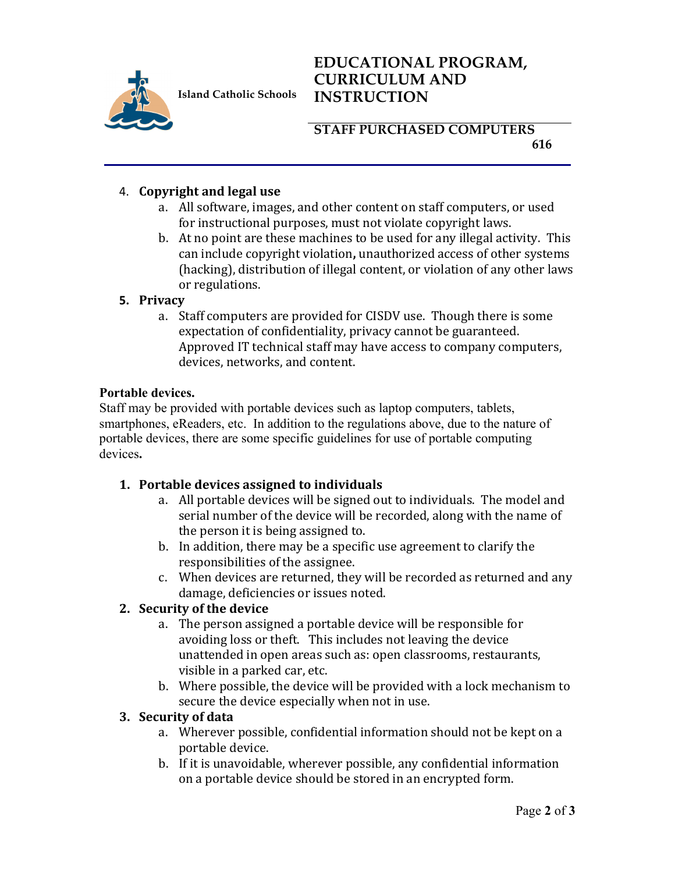

**Island Catholic Schools** 

# **EDUCATIONAL PROGRAM, CURRICULUM AND INSTRUCTION**

# **STAFF PURCHASED COMPUTERS 616**

# 4. **Copyright and legal use**

- a. All software, images, and other content on staff computers, or used for instructional purposes, must not violate copyright laws.
- b. At no point are these machines to be used for any illegal activity. This can include copyright violation, unauthorized access of other systems (hacking), distribution of illegal content, or violation of any other laws or regulations.

### **5. Privacy**

a. Staff computers are provided for CISDV use. Though there is some expectation of confidentiality, privacy cannot be guaranteed. Approved IT technical staff may have access to company computers, devices, networks, and content.

#### **Portable devices.**

Staff may be provided with portable devices such as laptop computers, tablets, smartphones, eReaders, etc. In addition to the regulations above, due to the nature of portable devices, there are some specific guidelines for use of portable computing devices**.**

### 1. Portable devices assigned to individuals

- a. All portable devices will be signed out to individuals. The model and serial number of the device will be recorded, along with the name of the person it is being assigned to.
- b. In addition, there may be a specific use agreement to clarify the responsibilities of the assignee.
- c. When devices are returned, they will be recorded as returned and any damage, deficiencies or issues noted.

### **2.** Security of the device

- a. The person assigned a portable device will be responsible for avoiding loss or theft. This includes not leaving the device unattended in open areas such as: open classrooms, restaurants, visible in a parked car, etc.
- b. Where possible, the device will be provided with a lock mechanism to secure the device especially when not in use.

#### **3. Security of data**

- a. Wherever possible, confidential information should not be kept on a portable device.
- b. If it is unavoidable, wherever possible, any confidential information on a portable device should be stored in an encrypted form.